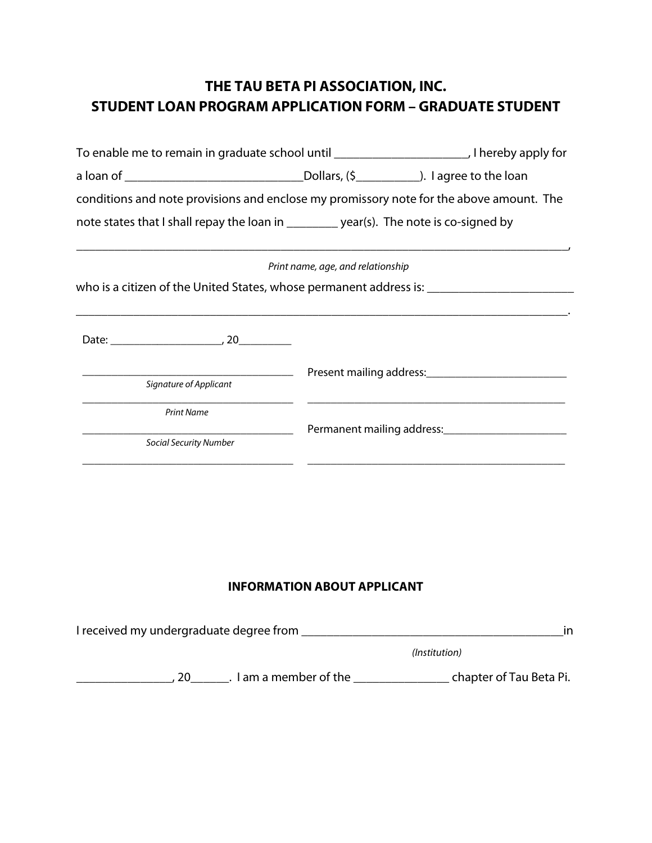## **THE TAU BETA PI ASSOCIATION, INC. STUDENT LOAN PROGRAM APPLICATION FORM – GRADUATE STUDENT**

| conditions and note provisions and enclose my promissory note for the above amount. The |                                   |                                                                 |
|-----------------------------------------------------------------------------------------|-----------------------------------|-----------------------------------------------------------------|
| note states that I shall repay the loan in _________ year(s). The note is co-signed by  |                                   |                                                                 |
|                                                                                         | Print name, age, and relationship |                                                                 |
|                                                                                         |                                   |                                                                 |
|                                                                                         |                                   |                                                                 |
| Signature of Applicant                                                                  |                                   |                                                                 |
| <b>Print Name</b>                                                                       |                                   |                                                                 |
| <b>Social Security Number</b>                                                           |                                   | Permanent mailing address:<br><u>Permanent</u> mailing address: |
|                                                                                         |                                   |                                                                 |

## **INFORMATION ABOUT APPLICANT**

| I received my undergraduate degree from | ın                      |
|-----------------------------------------|-------------------------|
|                                         | (Institution)           |
| I am a member of the                    | chapter of Tau Beta Pi. |